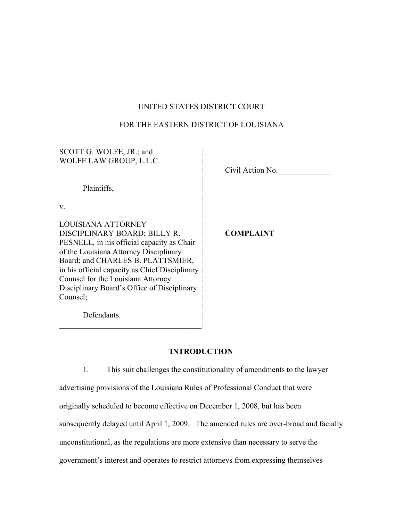## UNITED STATES DISTRICT COURT

## FOR THE EASTERN DISTRICT OF LOUISIANA

| SCOTT G. WOLFE, JR.; and                       |                  |  |
|------------------------------------------------|------------------|--|
| WOLFE LAW GROUP, L.L.C.                        |                  |  |
|                                                | Civil Action No. |  |
|                                                |                  |  |
| Plaintiffs,                                    |                  |  |
|                                                |                  |  |
| V.                                             |                  |  |
|                                                |                  |  |
| LOUISIANA ATTORNEY                             |                  |  |
| DISCIPLINARY BOARD; BILLY R.                   | <b>COMPLAINT</b> |  |
| PESNELL, in his official capacity as Chair     |                  |  |
| of the Louisiana Attorney Disciplinary         |                  |  |
| Board; and CHARLES B. PLATTSMIER,              |                  |  |
| in his official capacity as Chief Disciplinary |                  |  |
| Counsel for the Louisiana Attorney             |                  |  |
| Disciplinary Board's Office of Disciplinary    |                  |  |
| Counsel:                                       |                  |  |
|                                                |                  |  |
|                                                |                  |  |
| Defendants.                                    |                  |  |

# **INTRODUCTION**

 $\mathcal{L}_\text{max}$  and  $\mathcal{L}_\text{max}$  and  $\mathcal{L}_\text{max}$  and  $\mathcal{L}_\text{max}$ 

1. This suit challenges the constitutionality of amendments to the lawyer advertising provisions of the Louisiana Rules of Professional Conduct that were originally scheduled to become effective on December 1, 2008, but has been subsequently delayed until April 1, 2009. The amended rules are over-broad and facially unconstitutional, as the regulations are more extensive than necessary to serve the government's interest and operates to restrict attorneys from expressing themselves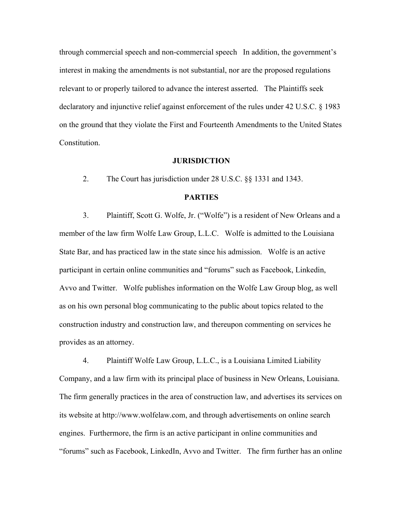through commercial speech and non-commercial speech In addition, the government's interest in making the amendments is not substantial, nor are the proposed regulations relevant to or properly tailored to advance the interest asserted. The Plaintiffs seek declaratory and injunctive relief against enforcement of the rules under 42 U.S.C. § 1983 on the ground that they violate the First and Fourteenth Amendments to the United States Constitution.

#### **JURISDICTION**

2. The Court has jurisdiction under 28 U.S.C. §§ 1331 and 1343.

### **PARTIES**

3. Plaintiff, Scott G. Wolfe, Jr. ("Wolfe") is a resident of New Orleans and a member of the law firm Wolfe Law Group, L.L.C. Wolfe is admitted to the Louisiana State Bar, and has practiced law in the state since his admission. Wolfe is an active participant in certain online communities and "forums" such as Facebook, Linkedin, Avvo and Twitter. Wolfe publishes information on the Wolfe Law Group blog, as well as on his own personal blog communicating to the public about topics related to the construction industry and construction law, and thereupon commenting on services he provides as an attorney.

4. Plaintiff Wolfe Law Group, L.L.C., is a Louisiana Limited Liability Company, and a law firm with its principal place of business in New Orleans, Louisiana. The firm generally practices in the area of construction law, and advertises its services on its website at http://www.wolfelaw.com, and through advertisements on online search engines. Furthermore, the firm is an active participant in online communities and "forums" such as Facebook, LinkedIn, Avvo and Twitter. The firm further has an online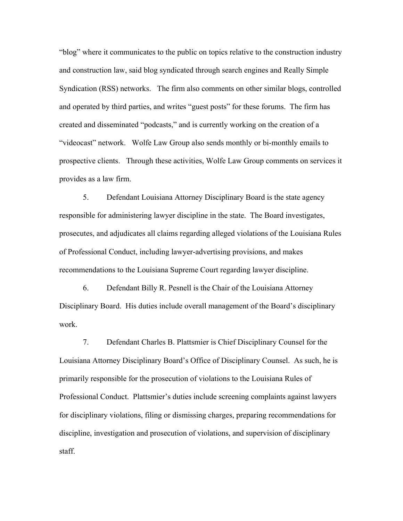"blog" where it communicates to the public on topics relative to the construction industry and construction law, said blog syndicated through search engines and Really Simple Syndication (RSS) networks. The firm also comments on other similar blogs, controlled and operated by third parties, and writes "guest posts" for these forums. The firm has created and disseminated "podcasts," and is currently working on the creation of a "videocast" network. Wolfe Law Group also sends monthly or bi-monthly emails to prospective clients. Through these activities, Wolfe Law Group comments on services it provides as a law firm.

5. Defendant Louisiana Attorney Disciplinary Board is the state agency responsible for administering lawyer discipline in the state. The Board investigates, prosecutes, and adjudicates all claims regarding alleged violations of the Louisiana Rules of Professional Conduct, including lawyer-advertising provisions, and makes recommendations to the Louisiana Supreme Court regarding lawyer discipline.

6. Defendant Billy R. Pesnell is the Chair of the Louisiana Attorney Disciplinary Board. His duties include overall management of the Board's disciplinary work.

7. Defendant Charles B. Plattsmier is Chief Disciplinary Counsel for the Louisiana Attorney Disciplinary Board's Office of Disciplinary Counsel. As such, he is primarily responsible for the prosecution of violations to the Louisiana Rules of Professional Conduct. Plattsmier's duties include screening complaints against lawyers for disciplinary violations, filing or dismissing charges, preparing recommendations for discipline, investigation and prosecution of violations, and supervision of disciplinary staff.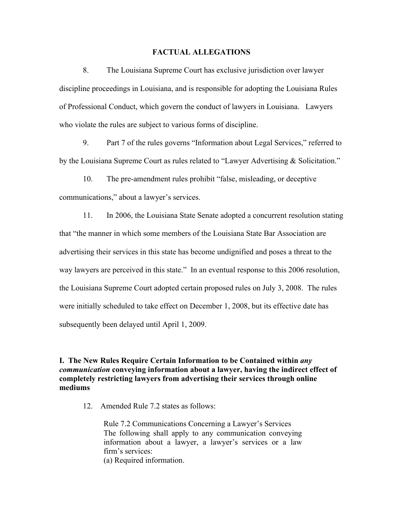#### **FACTUAL ALLEGATIONS**

8. The Louisiana Supreme Court has exclusive jurisdiction over lawyer discipline proceedings in Louisiana, and is responsible for adopting the Louisiana Rules of Professional Conduct, which govern the conduct of lawyers in Louisiana. Lawyers who violate the rules are subject to various forms of discipline.

9. Part 7 of the rules governs "Information about Legal Services," referred to by the Louisiana Supreme Court as rules related to "Lawyer Advertising & Solicitation."

10. The pre-amendment rules prohibit "false, misleading, or deceptive communications," about a lawyer's services.

11. In 2006, the Louisiana State Senate adopted a concurrent resolution stating that "the manner in which some members of the Louisiana State Bar Association are advertising their services in this state has become undignified and poses a threat to the way lawyers are perceived in this state." In an eventual response to this 2006 resolution, the Louisiana Supreme Court adopted certain proposed rules on July 3, 2008. The rules were initially scheduled to take effect on December 1, 2008, but its effective date has subsequently been delayed until April 1, 2009.

### **I. The New Rules Require Certain Information to be Contained within** *any communication* **conveying information about a lawyer, having the indirect effect of completely restricting lawyers from advertising their services through online mediums**

12. Amended Rule 7.2 states as follows:

Rule 7.2 Communications Concerning a Lawyer's Services The following shall apply to any communication conveying information about a lawyer, a lawyer's services or a law firm's services: (a) Required information.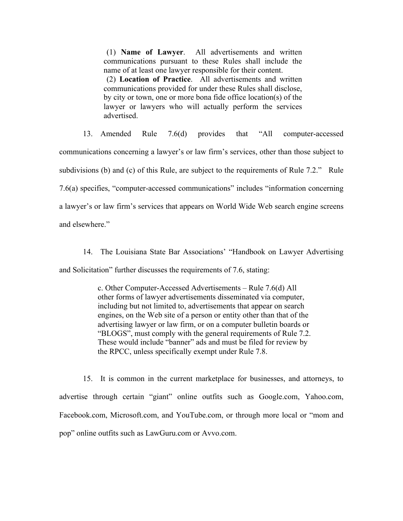(1) **Name of Lawyer**. All advertisements and written communications pursuant to these Rules shall include the name of at least one lawyer responsible for their content. (2) **Location of Practice**. All advertisements and written

communications provided for under these Rules shall disclose, by city or town, one or more bona fide office location(s) of the lawyer or lawyers who will actually perform the services advertised.

13. Amended Rule 7.6(d) provides that "All computer-accessed communications concerning a lawyer's or law firm's services, other than those subject to subdivisions (b) and (c) of this Rule, are subject to the requirements of Rule 7.2." Rule 7.6(a) specifies, "computer-accessed communications" includes "information concerning a lawyer's or law firm's services that appears on World Wide Web search engine screens and elsewhere."

14. The Louisiana State Bar Associations' "Handbook on Lawyer Advertising and Solicitation" further discusses the requirements of 7.6, stating:

> c. Other Computer-Accessed Advertisements – Rule 7.6(d) All other forms of lawyer advertisements disseminated via computer, including but not limited to, advertisements that appear on search engines, on the Web site of a person or entity other than that of the advertising lawyer or law firm, or on a computer bulletin boards or "BLOGS", must comply with the general requirements of Rule 7.2. These would include "banner" ads and must be filed for review by the RPCC, unless specifically exempt under Rule 7.8.

15. It is common in the current marketplace for businesses, and attorneys, to advertise through certain "giant" online outfits such as Google.com, Yahoo.com, Facebook.com, Microsoft.com, and YouTube.com, or through more local or "mom and pop" online outfits such as LawGuru.com or Avvo.com.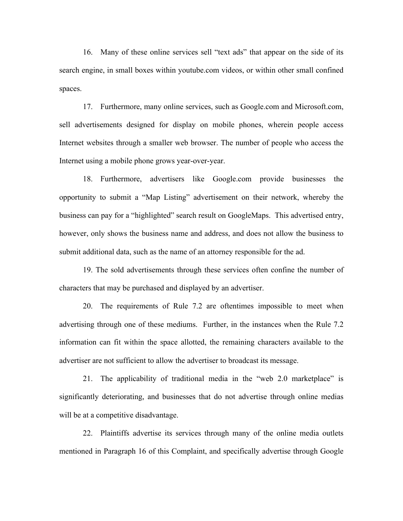16. Many of these online services sell "text ads" that appear on the side of its search engine, in small boxes within youtube.com videos, or within other small confined spaces.

17. Furthermore, many online services, such as Google.com and Microsoft.com, sell advertisements designed for display on mobile phones, wherein people access Internet websites through a smaller web browser. The number of people who access the Internet using a mobile phone grows year-over-year.

18. Furthermore, advertisers like Google.com provide businesses the opportunity to submit a "Map Listing" advertisement on their network, whereby the business can pay for a "highlighted" search result on GoogleMaps. This advertised entry, however, only shows the business name and address, and does not allow the business to submit additional data, such as the name of an attorney responsible for the ad.

19. The sold advertisements through these services often confine the number of characters that may be purchased and displayed by an advertiser.

20. The requirements of Rule 7.2 are oftentimes impossible to meet when advertising through one of these mediums. Further, in the instances when the Rule 7.2 information can fit within the space allotted, the remaining characters available to the advertiser are not sufficient to allow the advertiser to broadcast its message.

21. The applicability of traditional media in the "web 2.0 marketplace" is significantly deteriorating, and businesses that do not advertise through online medias will be at a competitive disadvantage.

22. Plaintiffs advertise its services through many of the online media outlets mentioned in Paragraph 16 of this Complaint, and specifically advertise through Google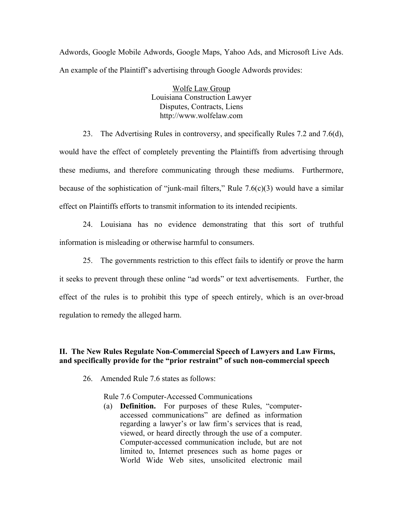Adwords, Google Mobile Adwords, Google Maps, Yahoo Ads, and Microsoft Live Ads. An example of the Plaintiff's advertising through Google Adwords provides:

> Wolfe Law Group Louisiana Construction Lawyer Disputes, Contracts, Liens http://www.wolfelaw.com

23. The Advertising Rules in controversy, and specifically Rules 7.2 and 7.6(d), would have the effect of completely preventing the Plaintiffs from advertising through these mediums, and therefore communicating through these mediums. Furthermore, because of the sophistication of "junk-mail filters," Rule  $7.6(c)(3)$  would have a similar effect on Plaintiffs efforts to transmit information to its intended recipients.

24. Louisiana has no evidence demonstrating that this sort of truthful information is misleading or otherwise harmful to consumers.

25. The governments restriction to this effect fails to identify or prove the harm it seeks to prevent through these online "ad words" or text advertisements. Further, the effect of the rules is to prohibit this type of speech entirely, which is an over-broad regulation to remedy the alleged harm.

### **II. The New Rules Regulate Non-Commercial Speech of Lawyers and Law Firms, and specifically provide for the "prior restraint" of such non-commercial speech**

26. Amended Rule 7.6 states as follows:

Rule 7.6 Computer-Accessed Communications

(a) **Definition.** For purposes of these Rules, "computeraccessed communications" are defined as information regarding a lawyer's or law firm's services that is read, viewed, or heard directly through the use of a computer. Computer-accessed communication include, but are not limited to, Internet presences such as home pages or World Wide Web sites, unsolicited electronic mail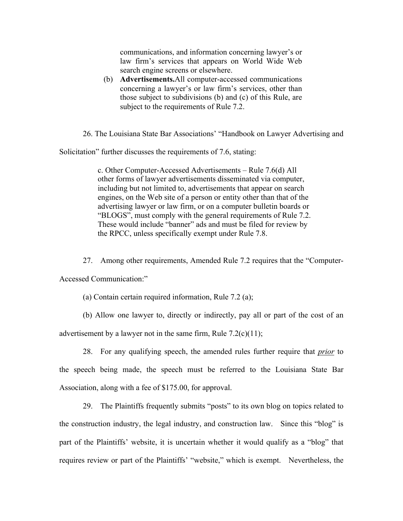communications, and information concerning lawyer's or law firm's services that appears on World Wide Web search engine screens or elsewhere.

(b) **Advertisements.**All computer-accessed communications concerning a lawyer's or law firm's services, other than those subject to subdivisions (b) and (c) of this Rule, are subject to the requirements of Rule 7.2.

26. The Louisiana State Bar Associations' "Handbook on Lawyer Advertising and

Solicitation" further discusses the requirements of 7.6, stating:

c. Other Computer-Accessed Advertisements – Rule 7.6(d) All other forms of lawyer advertisements disseminated via computer, including but not limited to, advertisements that appear on search engines, on the Web site of a person or entity other than that of the advertising lawyer or law firm, or on a computer bulletin boards or "BLOGS", must comply with the general requirements of Rule 7.2. These would include "banner" ads and must be filed for review by the RPCC, unless specifically exempt under Rule 7.8.

27. Among other requirements, Amended Rule 7.2 requires that the "Computer-

Accessed Communication:"

(a) Contain certain required information, Rule 7.2 (a);

(b) Allow one lawyer to, directly or indirectly, pay all or part of the cost of an

advertisement by a lawyer not in the same firm, Rule  $7.2(c)(11)$ ;

28. For any qualifying speech, the amended rules further require that *prior* to the speech being made, the speech must be referred to the Louisiana State Bar Association, along with a fee of \$175.00, for approval.

29. The Plaintiffs frequently submits "posts" to its own blog on topics related to the construction industry, the legal industry, and construction law. Since this "blog" is part of the Plaintiffs' website, it is uncertain whether it would qualify as a "blog" that requires review or part of the Plaintiffs' "website," which is exempt. Nevertheless, the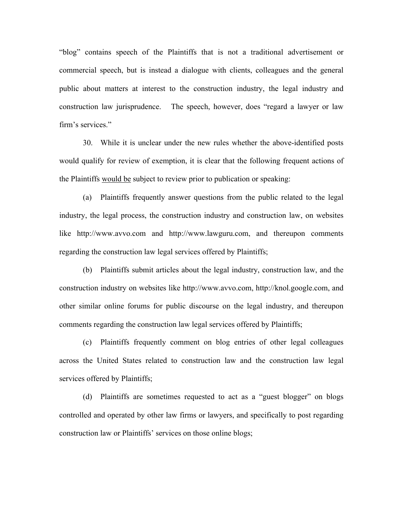"blog" contains speech of the Plaintiffs that is not a traditional advertisement or commercial speech, but is instead a dialogue with clients, colleagues and the general public about matters at interest to the construction industry, the legal industry and construction law jurisprudence. The speech, however, does "regard a lawyer or law firm's services."

30. While it is unclear under the new rules whether the above-identified posts would qualify for review of exemption, it is clear that the following frequent actions of the Plaintiffs would be subject to review prior to publication or speaking:

(a) Plaintiffs frequently answer questions from the public related to the legal industry, the legal process, the construction industry and construction law, on websites like http://www.avvo.com and http://www.lawguru.com, and thereupon comments regarding the construction law legal services offered by Plaintiffs;

(b) Plaintiffs submit articles about the legal industry, construction law, and the construction industry on websites like http://www.avvo.com, http://knol.google.com, and other similar online forums for public discourse on the legal industry, and thereupon comments regarding the construction law legal services offered by Plaintiffs;

(c) Plaintiffs frequently comment on blog entries of other legal colleagues across the United States related to construction law and the construction law legal services offered by Plaintiffs;

(d) Plaintiffs are sometimes requested to act as a "guest blogger" on blogs controlled and operated by other law firms or lawyers, and specifically to post regarding construction law or Plaintiffs' services on those online blogs;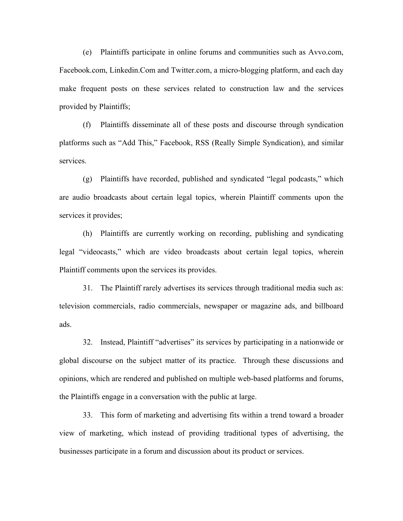(e) Plaintiffs participate in online forums and communities such as Avvo.com, Facebook.com, Linkedin.Com and Twitter.com, a micro-blogging platform, and each day make frequent posts on these services related to construction law and the services provided by Plaintiffs;

(f) Plaintiffs disseminate all of these posts and discourse through syndication platforms such as "Add This," Facebook, RSS (Really Simple Syndication), and similar services.

(g) Plaintiffs have recorded, published and syndicated "legal podcasts," which are audio broadcasts about certain legal topics, wherein Plaintiff comments upon the services it provides;

(h) Plaintiffs are currently working on recording, publishing and syndicating legal "videocasts," which are video broadcasts about certain legal topics, wherein Plaintiff comments upon the services its provides.

31. The Plaintiff rarely advertises its services through traditional media such as: television commercials, radio commercials, newspaper or magazine ads, and billboard ads.

32. Instead, Plaintiff "advertises" its services by participating in a nationwide or global discourse on the subject matter of its practice. Through these discussions and opinions, which are rendered and published on multiple web-based platforms and forums, the Plaintiffs engage in a conversation with the public at large.

33. This form of marketing and advertising fits within a trend toward a broader view of marketing, which instead of providing traditional types of advertising, the businesses participate in a forum and discussion about its product or services.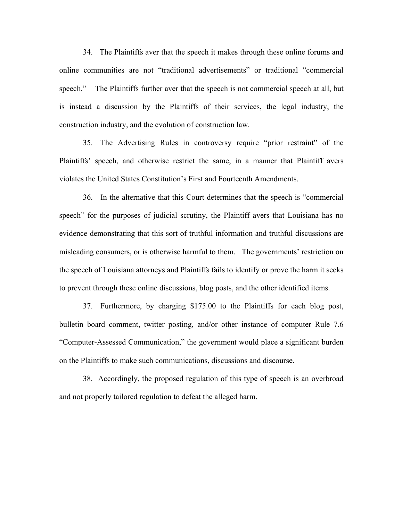34. The Plaintiffs aver that the speech it makes through these online forums and online communities are not "traditional advertisements" or traditional "commercial speech." The Plaintiffs further aver that the speech is not commercial speech at all, but is instead a discussion by the Plaintiffs of their services, the legal industry, the construction industry, and the evolution of construction law.

35. The Advertising Rules in controversy require "prior restraint" of the Plaintiffs' speech, and otherwise restrict the same, in a manner that Plaintiff avers violates the United States Constitution's First and Fourteenth Amendments.

36. In the alternative that this Court determines that the speech is "commercial speech" for the purposes of judicial scrutiny, the Plaintiff avers that Louisiana has no evidence demonstrating that this sort of truthful information and truthful discussions are misleading consumers, or is otherwise harmful to them. The governments' restriction on the speech of Louisiana attorneys and Plaintiffs fails to identify or prove the harm it seeks to prevent through these online discussions, blog posts, and the other identified items.

37. Furthermore, by charging \$175.00 to the Plaintiffs for each blog post, bulletin board comment, twitter posting, and/or other instance of computer Rule 7.6 "Computer-Assessed Communication," the government would place a significant burden on the Plaintiffs to make such communications, discussions and discourse.

38. Accordingly, the proposed regulation of this type of speech is an overbroad and not properly tailored regulation to defeat the alleged harm.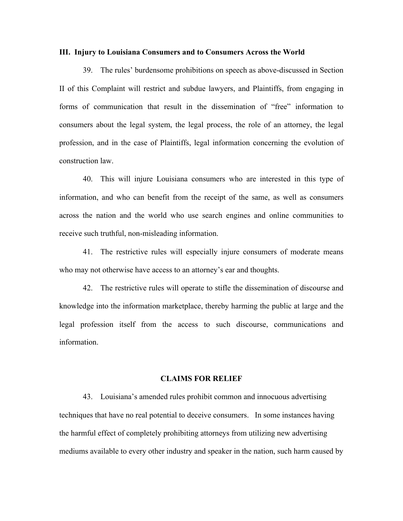#### **III. Injury to Louisiana Consumers and to Consumers Across the World**

39. The rules' burdensome prohibitions on speech as above-discussed in Section II of this Complaint will restrict and subdue lawyers, and Plaintiffs, from engaging in forms of communication that result in the dissemination of "free" information to consumers about the legal system, the legal process, the role of an attorney, the legal profession, and in the case of Plaintiffs, legal information concerning the evolution of construction law.

40. This will injure Louisiana consumers who are interested in this type of information, and who can benefit from the receipt of the same, as well as consumers across the nation and the world who use search engines and online communities to receive such truthful, non-misleading information.

41. The restrictive rules will especially injure consumers of moderate means who may not otherwise have access to an attorney's ear and thoughts.

42. The restrictive rules will operate to stifle the dissemination of discourse and knowledge into the information marketplace, thereby harming the public at large and the legal profession itself from the access to such discourse, communications and information.

#### **CLAIMS FOR RELIEF**

43. Louisiana's amended rules prohibit common and innocuous advertising techniques that have no real potential to deceive consumers. In some instances having the harmful effect of completely prohibiting attorneys from utilizing new advertising mediums available to every other industry and speaker in the nation, such harm caused by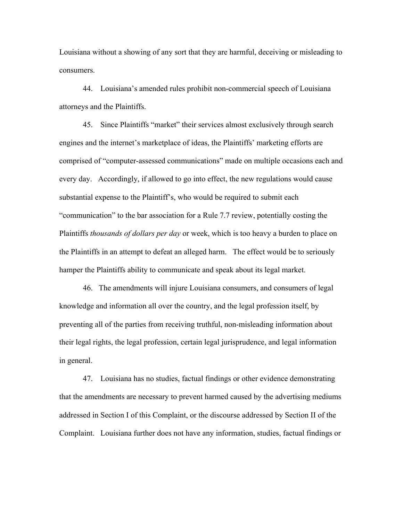Louisiana without a showing of any sort that they are harmful, deceiving or misleading to consumers.

44. Louisiana's amended rules prohibit non-commercial speech of Louisiana attorneys and the Plaintiffs.

45. Since Plaintiffs "market" their services almost exclusively through search engines and the internet's marketplace of ideas, the Plaintiffs' marketing efforts are comprised of "computer-assessed communications" made on multiple occasions each and every day. Accordingly, if allowed to go into effect, the new regulations would cause substantial expense to the Plaintiff's, who would be required to submit each "communication" to the bar association for a Rule 7.7 review, potentially costing the Plaintiffs *thousands of dollars per day* or week, which is too heavy a burden to place on the Plaintiffs in an attempt to defeat an alleged harm. The effect would be to seriously hamper the Plaintiffs ability to communicate and speak about its legal market.

46. The amendments will injure Louisiana consumers, and consumers of legal knowledge and information all over the country, and the legal profession itself, by preventing all of the parties from receiving truthful, non-misleading information about their legal rights, the legal profession, certain legal jurisprudence, and legal information in general.

47. Louisiana has no studies, factual findings or other evidence demonstrating that the amendments are necessary to prevent harmed caused by the advertising mediums addressed in Section I of this Complaint, or the discourse addressed by Section II of the Complaint. Louisiana further does not have any information, studies, factual findings or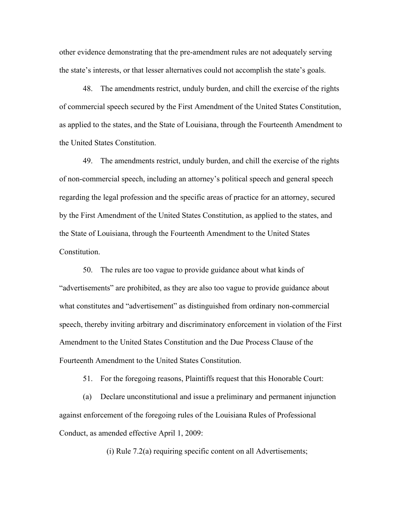other evidence demonstrating that the pre-amendment rules are not adequately serving the state's interests, or that lesser alternatives could not accomplish the state's goals.

48. The amendments restrict, unduly burden, and chill the exercise of the rights of commercial speech secured by the First Amendment of the United States Constitution, as applied to the states, and the State of Louisiana, through the Fourteenth Amendment to the United States Constitution.

49. The amendments restrict, unduly burden, and chill the exercise of the rights of non-commercial speech, including an attorney's political speech and general speech regarding the legal profession and the specific areas of practice for an attorney, secured by the First Amendment of the United States Constitution, as applied to the states, and the State of Louisiana, through the Fourteenth Amendment to the United States Constitution.

50. The rules are too vague to provide guidance about what kinds of "advertisements" are prohibited, as they are also too vague to provide guidance about what constitutes and "advertisement" as distinguished from ordinary non-commercial speech, thereby inviting arbitrary and discriminatory enforcement in violation of the First Amendment to the United States Constitution and the Due Process Clause of the Fourteenth Amendment to the United States Constitution.

51. For the foregoing reasons, Plaintiffs request that this Honorable Court:

(a) Declare unconstitutional and issue a preliminary and permanent injunction against enforcement of the foregoing rules of the Louisiana Rules of Professional Conduct, as amended effective April 1, 2009:

(i) Rule 7.2(a) requiring specific content on all Advertisements;